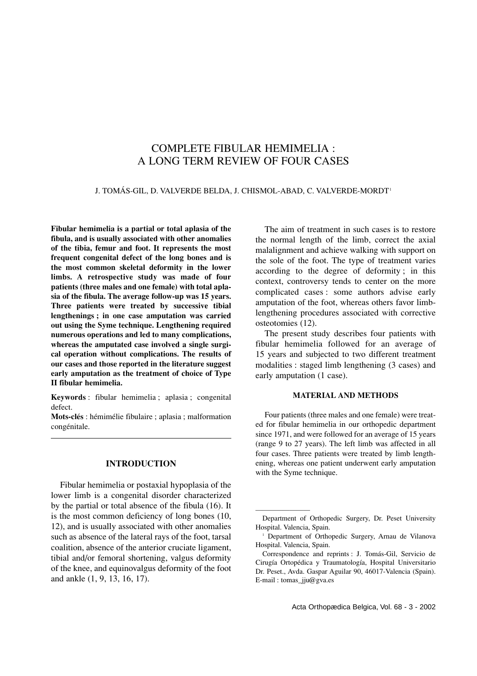# COMPLETE FIBULAR HEMIMELIA : A LONG TERM REVIEW OF FOUR CASES

#### J. TOMÁS-GIL, D. VALVERDE BELDA, J. CHISMOL-ABAD, C. VALVERDE-MORDT1

**Fibular hemimelia is a partial or total aplasia of the fibula, and is usually associated with other anomalies of the tibia, femur and foot. It represents the most frequent congenital defect of the long bones and is the most common skeletal deformity in the lower limbs. A retrospective study was made of four patients (three males and one female) with total aplasia of the fibula. The average follow-up was 15 years. Three patients were treated by successive tibial lengthenings ; in one case amputation was carried out using the Syme technique. Lengthening required numerous operations and led to many complications, whereas the amputated case involved a single surgical operation without complications. The results of our cases and those reported in the literature suggest early amputation as the treatment of choice of Type II fibular hemimelia.**

**Keywords** : fibular hemimelia ; aplasia ; congenital defect.

**Mots-clés** : hémimélie fibulaire ; aplasia ; malformation congénitale.

#### **INTRODUCTION**

Fibular hemimelia or postaxial hypoplasia of the lower limb is a congenital disorder characterized by the partial or total absence of the fibula (16). It is the most common deficiency of long bones (10, 12), and is usually associated with other anomalies such as absence of the lateral rays of the foot, tarsal coalition, absence of the anterior cruciate ligament, tibial and/or femoral shortening, valgus deformity of the knee, and equinovalgus deformity of the foot and ankle (1, 9, 13, 16, 17).

The aim of treatment in such cases is to restore the normal length of the limb, correct the axial malalignment and achieve walking with support on the sole of the foot. The type of treatment varies according to the degree of deformity ; in this context, controversy tends to center on the more complicated cases : some authors advise early amputation of the foot, whereas others favor limblengthening procedures associated with corrective osteotomies (12).

The present study describes four patients with fibular hemimelia followed for an average of 15 years and subjected to two different treatment modalities : staged limb lengthening (3 cases) and early amputation (1 case).

## **MATERIAL AND METHODS**

Four patients (three males and one female) were treated for fibular hemimelia in our orthopedic department since 1971, and were followed for an average of 15 years (range 9 to 27 years). The left limb was affected in all four cases. Three patients were treated by limb lengthening, whereas one patient underwent early amputation with the Syme technique.

————————

Department of Orthopedic Surgery, Dr. Peset University Hospital. Valencia, Spain.

<sup>1</sup> Department of Orthopedic Surgery, Arnau de Vilanova Hospital. Valencia, Spain.

Correspondence and reprints : J. Tomás-Gil, Servicio de Cirugía Ortopédica y Traumatología, Hospital Universitario Dr. Peset., Avda. Gaspar Aguilar 90, 46017-Valencia (Spain). E-mail : tomas\_jju@gva.es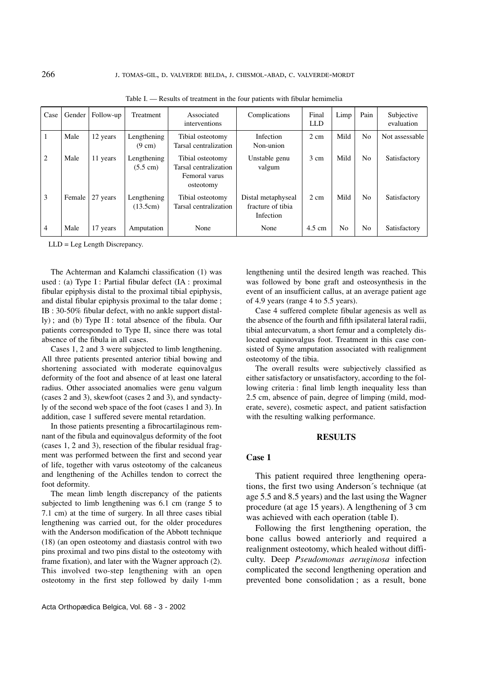| Case           | Gender | Follow-up | Treatment                         | Associated<br>interventions                                             | Complications                                        | Final<br><b>LLD</b> | Limp | Pain           | Subjective<br>evaluation |
|----------------|--------|-----------|-----------------------------------|-------------------------------------------------------------------------|------------------------------------------------------|---------------------|------|----------------|--------------------------|
|                | Male   | 12 years  | Lengthening<br>$(9 \text{ cm})$   | Tibial osteotomy<br>Tarsal centralization                               | Infection<br>Non-union                               | $2 \text{ cm}$      | Mild | N <sub>0</sub> | Not assessable           |
| 2              | Male   | 11 years  | Lengthening<br>$(5.5 \text{ cm})$ | Tibial osteotomy<br>Tarsal centralization<br>Femoral varus<br>osteotomy | Unstable genu<br>valgum                              | 3 cm                | Mild | N <sub>0</sub> | Satisfactory             |
| 3              | Female | 27 years  | Lengthening<br>(13.5cm)           | Tibial osteotomy<br>Tarsal centralization                               | Distal metaphyseal<br>fracture of tibia<br>Infection | 2 cm                | Mild | N <sub>0</sub> | Satisfactory             |
| $\overline{4}$ | Male   | 17 years  | Amputation                        | None                                                                    | None                                                 | $4.5 \text{ cm}$    | No   | No             | Satisfactory             |

Table I. — Results of treatment in the four patients with fibular hemimelia

LLD = Leg Length Discrepancy.

The Achterman and Kalamchi classification (1) was used : (a) Type I : Partial fibular defect (IA : proximal fibular epiphysis distal to the proximal tibial epiphysis, and distal fibular epiphysis proximal to the talar dome ; IB : 30-50% fibular defect, with no ankle support distally) ; and (b) Type II : total absence of the fibula. Our patients corresponded to Type II, since there was total absence of the fibula in all cases.

Cases 1, 2 and 3 were subjected to limb lengthening. All three patients presented anterior tibial bowing and shortening associated with moderate equinovalgus deformity of the foot and absence of at least one lateral radius. Other associated anomalies were genu valgum (cases 2 and 3), skewfoot (cases 2 and 3), and syndactyly of the second web space of the foot (cases 1 and 3). In addition, case 1 suffered severe mental retardation.

In those patients presenting a fibrocartilaginous remnant of the fibula and equinovalgus deformity of the foot (cases 1, 2 and 3), resection of the fibular residual fragment was performed between the first and second year of life, together with varus osteotomy of the calcaneus and lengthening of the Achilles tendon to correct the foot deformity.

The mean limb length discrepancy of the patients subjected to limb lengthening was 6.1 cm (range 5 to 7.1 cm) at the time of surgery. In all three cases tibial lengthening was carried out, for the older procedures with the Anderson modification of the Abbott technique (18) (an open osteotomy and diastasis control with two pins proximal and two pins distal to the osteotomy with frame fixation), and later with the Wagner approach (2). This involved two-step lengthening with an open osteotomy in the first step followed by daily 1-mm

lengthening until the desired length was reached. This was followed by bone graft and osteosynthesis in the event of an insufficient callus, at an average patient age of 4.9 years (range 4 to 5.5 years).

Case 4 suffered complete fibular agenesis as well as the absence of the fourth and fifth ipsilateral lateral radii, tibial antecurvatum, a short femur and a completely dislocated equinovalgus foot. Treatment in this case consisted of Syme amputation associated with realignment osteotomy of the tibia.

The overall results were subjectively classified as either satisfactory or unsatisfactory, according to the following criteria : final limb length inequality less than 2.5 cm, absence of pain, degree of limping (mild, moderate, severe), cosmetic aspect, and patient satisfaction with the resulting walking performance.

## **RESULTS**

#### **Case 1**

This patient required three lengthening operations, the first two using Anderson´s technique (at age 5.5 and 8.5 years) and the last using the Wagner procedure (at age 15 years). A lengthening of 3 cm was achieved with each operation (table I).

Following the first lengthening operation, the bone callus bowed anteriorly and required a realignment osteotomy, which healed without difficulty. Deep *Pseudomonas aeruginosa* infection complicated the second lengthening operation and prevented bone consolidation ; as a result, bone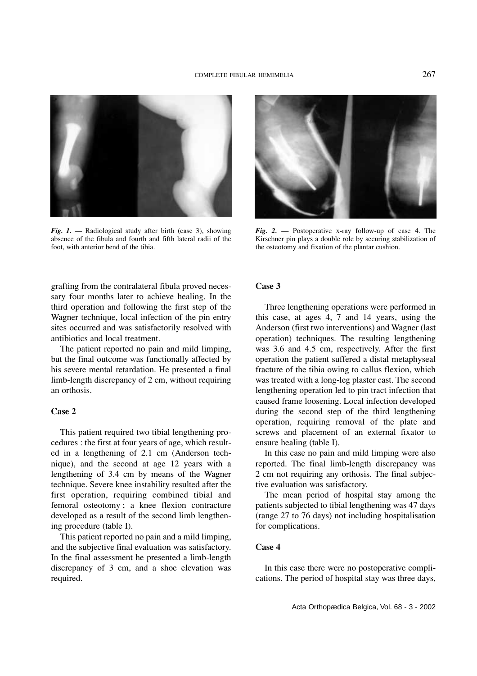

*Fig. 1.* — Radiological study after birth (case 3), showing absence of the fibula and fourth and fifth lateral radii of the foot, with anterior bend of the tibia.



*Fig. 2.* — Postoperative x-ray follow-up of case 4. The Kirschner pin plays a double role by securing stabilization of the osteotomy and fixation of the plantar cushion.

grafting from the contralateral fibula proved necessary four months later to achieve healing. In the third operation and following the first step of the Wagner technique, local infection of the pin entry sites occurred and was satisfactorily resolved with antibiotics and local treatment.

The patient reported no pain and mild limping, but the final outcome was functionally affected by his severe mental retardation. He presented a final limb-length discrepancy of 2 cm, without requiring an orthosis.

# **Case 2**

This patient required two tibial lengthening procedures : the first at four years of age, which resulted in a lengthening of 2.1 cm (Anderson technique), and the second at age 12 years with a lengthening of 3.4 cm by means of the Wagner technique. Severe knee instability resulted after the first operation, requiring combined tibial and femoral osteotomy ; a knee flexion contracture developed as a result of the second limb lengthening procedure (table I).

This patient reported no pain and a mild limping, and the subjective final evaluation was satisfactory. In the final assessment he presented a limb-length discrepancy of 3 cm, and a shoe elevation was required.

#### **Case 3**

Three lengthening operations were performed in this case, at ages 4, 7 and 14 years, using the Anderson (first two interventions) and Wagner (last operation) techniques. The resulting lengthening was 3.6 and 4.5 cm, respectively. After the first operation the patient suffered a distal metaphyseal fracture of the tibia owing to callus flexion, which was treated with a long-leg plaster cast. The second lengthening operation led to pin tract infection that caused frame loosening. Local infection developed during the second step of the third lengthening operation, requiring removal of the plate and screws and placement of an external fixator to ensure healing (table I).

In this case no pain and mild limping were also reported. The final limb-length discrepancy was 2 cm not requiring any orthosis. The final subjective evaluation was satisfactory.

The mean period of hospital stay among the patients subjected to tibial lengthening was 47 days (range 27 to 76 days) not including hospitalisation for complications.

#### **Case 4**

In this case there were no postoperative complications. The period of hospital stay was three days,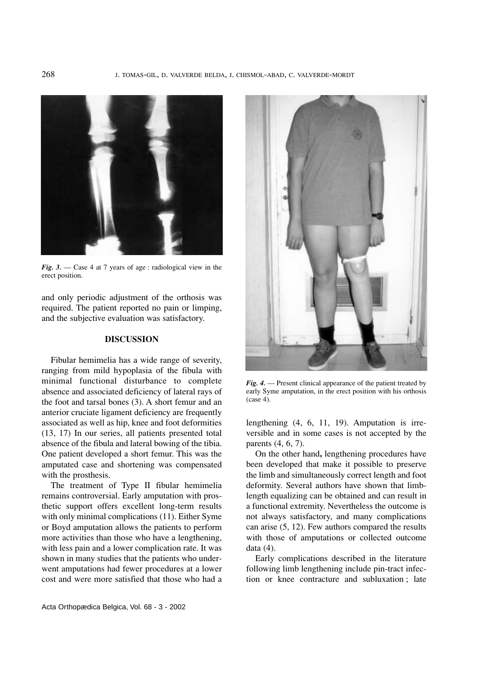

*Fig. 3.* — Case 4 at 7 years of age : radiological view in the erect position.

and only periodic adjustment of the orthosis was required. The patient reported no pain or limping, and the subjective evaluation was satisfactory.

# **DISCUSSION**

Fibular hemimelia has a wide range of severity, ranging from mild hypoplasia of the fibula with minimal functional disturbance to complete absence and associated deficiency of lateral rays of the foot and tarsal bones (3). A short femur and an anterior cruciate ligament deficiency are frequently associated as well as hip, knee and foot deformities (13, 17) In our series, all patients presented total absence of the fibula and lateral bowing of the tibia. One patient developed a short femur. This was the amputated case and shortening was compensated with the prosthesis.

The treatment of Type II fibular hemimelia remains controversial. Early amputation with prosthetic support offers excellent long-term results with only minimal complications (11). Either Syme or Boyd amputation allows the patients to perform more activities than those who have a lengthening, with less pain and a lower complication rate. It was shown in many studies that the patients who underwent amputations had fewer procedures at a lower cost and were more satisfied that those who had a



*Fig. 4.* — Present clinical appearance of the patient treated by early Syme amputation, in the erect position with his orthosis (case 4).

lengthening (4, 6, 11, 19). Amputation is irreversible and in some cases is not accepted by the parents (4, 6, 7).

On the other hand**,** lengthening procedures have been developed that make it possible to preserve the limb and simultaneously correct length and foot deformity. Several authors have shown that limblength equalizing can be obtained and can result in a functional extremity. Nevertheless the outcome is not always satisfactory, and many complications can arise (5, 12). Few authors compared the results with those of amputations or collected outcome data (4).

Early complications described in the literature following limb lengthening include pin-tract infection or knee contracture and subluxation ; late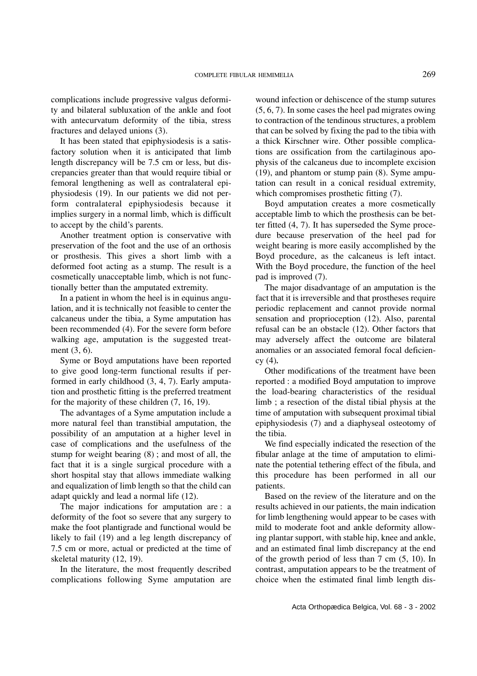complications include progressive valgus deformity and bilateral subluxation of the ankle and foot with antecurvatum deformity of the tibia, stress fractures and delayed unions (3).

It has been stated that epiphysiodesis is a satisfactory solution when it is anticipated that limb length discrepancy will be 7.5 cm or less, but discrepancies greater than that would require tibial or femoral lengthening as well as contralateral epiphysiodesis (19). In our patients we did not perform contralateral epiphysiodesis because it implies surgery in a normal limb, which is difficult to accept by the child's parents.

Another treatment option is conservative with preservation of the foot and the use of an orthosis or prosthesis. This gives a short limb with a deformed foot acting as a stump. The result is a cosmetically unacceptable limb, which is not functionally better than the amputated extremity.

In a patient in whom the heel is in equinus angulation, and it is technically not feasible to center the calcaneus under the tibia, a Syme amputation has been recommended (4). For the severe form before walking age, amputation is the suggested treatment (3, 6).

Syme or Boyd amputations have been reported to give good long-term functional results if performed in early childhood (3, 4, 7). Early amputation and prosthetic fitting is the preferred treatment for the majority of these children (7, 16, 19).

The advantages of a Syme amputation include a more natural feel than transtibial amputation, the possibility of an amputation at a higher level in case of complications and the usefulness of the stump for weight bearing (8) ; and most of all, the fact that it is a single surgical procedure with a short hospital stay that allows immediate walking and equalization of limb length so that the child can adapt quickly and lead a normal life (12).

The major indications for amputation are : a deformity of the foot so severe that any surgery to make the foot plantigrade and functional would be likely to fail (19) and a leg length discrepancy of 7.5 cm or more, actual or predicted at the time of skeletal maturity (12, 19).

In the literature, the most frequently described complications following Syme amputation are

wound infection or dehiscence of the stump sutures (5, 6, 7). In some cases the heel pad migrates owing to contraction of the tendinous structures, a problem that can be solved by fixing the pad to the tibia with a thick Kirschner wire. Other possible complications are ossification from the cartilaginous apophysis of the calcaneus due to incomplete excision (19), and phantom or stump pain (8). Syme amputation can result in a conical residual extremity, which compromises prosthetic fitting  $(7)$ .

Boyd amputation creates a more cosmetically acceptable limb to which the prosthesis can be better fitted (4, 7). It has superseded the Syme procedure because preservation of the heel pad for weight bearing is more easily accomplished by the Boyd procedure, as the calcaneus is left intact. With the Boyd procedure, the function of the heel pad is improved (7).

The major disadvantage of an amputation is the fact that it is irreversible and that prostheses require periodic replacement and cannot provide normal sensation and proprioception (12). Also, parental refusal can be an obstacle (12). Other factors that may adversely affect the outcome are bilateral anomalies or an associated femoral focal deficiency (4)*.*

Other modifications of the treatment have been reported : a modified Boyd amputation to improve the load-bearing characteristics of the residual limb ; a resection of the distal tibial physis at the time of amputation with subsequent proximal tibial epiphysiodesis (7) and a diaphyseal osteotomy of the tibia.

We find especially indicated the resection of the fibular anlage at the time of amputation to eliminate the potential tethering effect of the fibula, and this procedure has been performed in all our patients.

Based on the review of the literature and on the results achieved in our patients, the main indication for limb lengthening would appear to be cases with mild to moderate foot and ankle deformity allowing plantar support, with stable hip, knee and ankle, and an estimated final limb discrepancy at the end of the growth period of less than 7 cm (5, 10). In contrast, amputation appears to be the treatment of choice when the estimated final limb length dis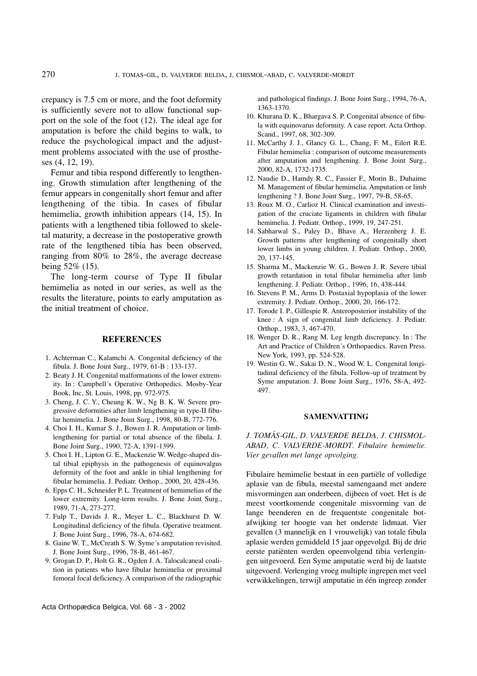crepancy is 7.5 cm or more, and the foot deformity is sufficiently severe not to allow functional support on the sole of the foot (12). The ideal age for amputation is before the child begins to walk, to reduce the psychological impact and the adjustment problems associated with the use of prostheses (4, 12, 19).

Femur and tibia respond differently to lengthening. Growth stimulation after lengthening of the femur appears in congenitally short femur and after lengthening of the tibia. In cases of fibular hemimelia, growth inhibition appears (14, 15). In patients with a lengthened tibia followed to skeletal maturity, a decrease in the postoperative growth rate of the lengthened tibia has been observed, ranging from 80% to 28%, the average decrease being 52% (15).

The long-term course of Type II fibular hemimelia as noted in our series, as well as the results the literature, points to early amputation as the initial treatment of choice.

### **REFERENCES**

- 1. Achterman C., Kalamchi A. Congenital deficiency of the fibula. J. Bone Joint Surg., 1979, 61-B : 133-137.
- 2. Beaty J. H. Congenital malformations of the lower extremity. In : Campbell´s Operative Orthopedics. Mosby-Year Book, Inc, St. Louis, 1998, pp. 972-975.
- 3. Cheng, J. C. Y., Cheung K. W., Ng B. K. W. Severe progressive deformities after limb lengthening in type-II fibular hemimelia. J. Bone Joint Surg., 1998, 80-B, 772-776.
- 4. Choi I. H., Kumar S. J., Bowen J. R. Amputation or limblengthening for partial or total absence of the fibula. J. Bone Joint Surg., 1990, 72-A, 1391-1399.
- 5. Choi I. H., Lipton G. E., Mackenzie W. Wedge-shaped distal tibial epiphysis in the pathogenesis of equinovalgus deformity of the foot and ankle in tibial lengthening for fibular hemimelia. J. Pediatr. Orthop., 2000, 20, 428-436.
- 6. Epps C. H., Schneider P. L. Treatment of hemimelias of the lower extremity. Long-term results. J. Bone Joint Surg., 1989, 71-A, 273-277.
- 7. Fulp T., Davids J. R., Meyer L. C., Blackhurst D. W. Longitudinal deficiency of the fibula. Operative treatment. J. Bone Joint Surg., 1996, 78-A, 674-682.
- 8. Gaine W. T., McCreath S. W. Syme´s amputation revisited. J. Bone Joint Surg., 1996, 78-B, 461-467.
- 9. Grogan D. P., Holt G. R., Ogden J. A. Talocalcaneal coalition in patients who have fibular hemimelia or proximal femoral focal deficiency. A comparison of the radiographic

and pathological findings. J. Bone Joint Surg., 1994, 76-A, 1363-1370.

- 10. Khurana D. K., Bhargava S. P. Congenital absence of fibula with equinovarus deformity. A case report. Acta Orthop. Scand., 1997, 68, 302-309.
- 11. McCarthy J. J., Glancy G. L., Chang, F. M., Eilert R.E. Fibular hemimelia : comparison of outcome measurements after amputation and lengthening. J. Bone Joint Surg., 2000, 82-A, 1732-1735.
- 12. Naudie D., Hamdy R. C., Fassier F., Morin B., Duhaime M. Management of fibular hemimelia. Amputation or limb lengthening ? J. Bone Joint Surg., 1997, 79-B, 58-65.
- 13. Roux M. O., Carlioz H. Clinical examination and investigation of the cruciate ligaments in children with fibular hemimelia. J. Pediatr. Orthop., 1999, 19, 247-251.
- 14. Sabharwal S., Paley D., Bhave A., Herzenberg J. E. Growth patterns after lengthening of congenitally short lower limbs in young children. J. Pediatr. Orthop., 2000, 20, 137-145.
- 15. Sharma M., Mackenzie W. G., Bowen J. R. Severe tibial growth retardation in total fibular hemimelia after limb lengthening. J. Pediatr. Orthop., 1996, 16, 438-444.
- 16. Stevens P. M., Arms D. Postaxial hypoplasia of the lower extremity. J. Pediatr. Orthop., 2000, 20, 166-172.
- 17. Torode I. P., Gillespie R. Anteroposterior instability of the knee : A sign of congenital limb deficiency. J. Pediatr. Orthop., 1983, 3, 467-470.
- 18. Wenger D. R., Rang M. Leg length discrepancy. In : The Art and Practice of Children´s Orthopaedics. Raven Press. New York, 1993, pp. 524-528.
- 19. Westin G. W., Sakai D. N., Wood W. L. Congenital longitudinal deficiency of the fibula. Follow-up of treatment by Syme amputation. J. Bone Joint Surg., 1976, 58-A, 492- 497.

#### **SAMENVATTING**

*J. TOMÁS-GIL, D. VALVERDE BELDA, J. CHISMOL-ABAD, C. VALVERDE-MORDT. Fibulaire hemimelie. Vier gevallen met lange opvolging.*

Fibulaire hemimelie bestaat in een partiële of volledige aplasie van de fibula, meestal samengaand met andere misvormingen aan onderbeen, dijbeen of voet. Het is de meest voortkomende congenitale misvorming van de lange beenderen en de frequentste congenitale botafwijking ter hoogte van het onderste lidmaat. Vier gevallen (3 mannelijk en 1 vrouwelijk) van totale fibula aplasie werden gemiddeld 15 jaar opgevolgd. Bij de drie eerste patiënten werden opeenvolgend tibia verlengingen uitgevoerd. Een Syme amputatie werd bij de laatste uitgevoerd. Verlenging vroeg multiple ingrepen met veel verwikkelingen, terwijl amputatie in één ingreep zonder